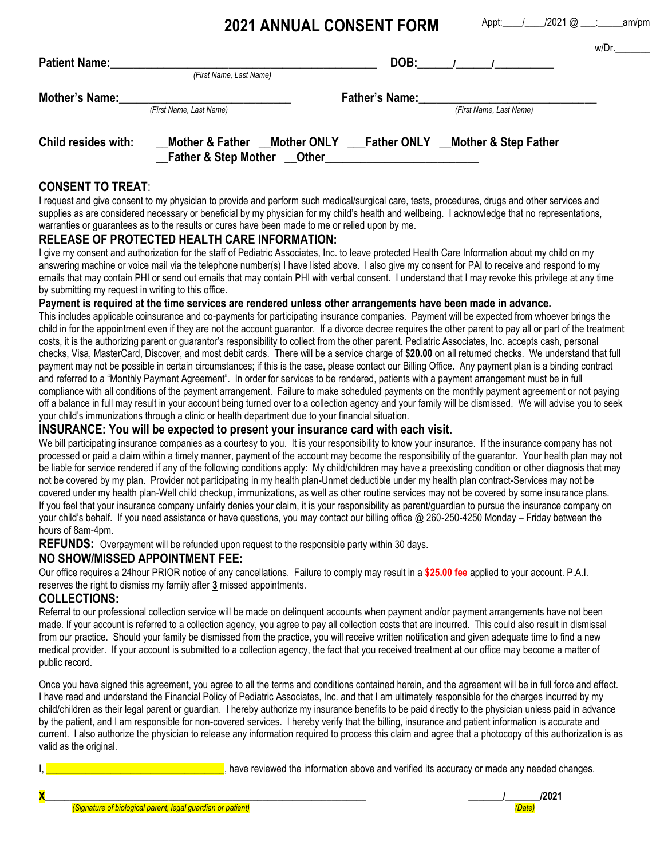**2021 ANNUAL CONSENT FORM**

Appt: / /2021 @ : am/pm

 $w/\Gamma_r$ 

| <b>Patient Name:</b>  | (First Name, Last Name)                                                                                                   | DOB:                  |                         | $\mathbf{w}$ |
|-----------------------|---------------------------------------------------------------------------------------------------------------------------|-----------------------|-------------------------|--------------|
| <b>Mother's Name:</b> | (First Name, Last Name)                                                                                                   | <b>Father's Name:</b> | (First Name, Last Name) |              |
| Child resides with:   | Mother & Father Mother ONLY Father ONLY Mother & Step Father<br><b>Father &amp; Step Mother Other Community Community</b> |                       |                         |              |

# **CONSENT TO TREAT**:

I request and give consent to my physician to provide and perform such medical/surgical care, tests, procedures, drugs and other services and supplies as are considered necessary or beneficial by my physician for my child's health and wellbeing. I acknowledge that no representations, warranties or guarantees as to the results or cures have been made to me or relied upon by me.

## **RELEASE OF PROTECTED HEALTH CARE INFORMATION:**

I give my consent and authorization for the staff of Pediatric Associates, Inc. to leave protected Health Care Information about my child on my answering machine or voice mail via the telephone number(s) I have listed above. I also give my consent for PAI to receive and respond to my emails that may contain PHI or send out emails that may contain PHI with verbal consent. I understand that I may revoke this privilege at any time by submitting my request in writing to this office.

### **Payment is required at the time services are rendered unless other arrangements have been made in advance.**

This includes applicable coinsurance and co-payments for participating insurance companies. Payment will be expected from whoever brings the child in for the appointment even if they are not the account guarantor. If a divorce decree requires the other parent to pay all or part of the treatment costs, it is the authorizing parent or guarantor's responsibility to collect from the other parent. Pediatric Associates, Inc. accepts cash, personal checks, Visa, MasterCard, Discover, and most debit cards. There will be a service charge of **\$20.00** on all returned checks. We understand that full payment may not be possible in certain circumstances; if this is the case, please contact our Billing Office. Any payment plan is a binding contract and referred to a "Monthly Payment Agreement". In order for services to be rendered, patients with a payment arrangement must be in full compliance with all conditions of the payment arrangement. Failure to make scheduled payments on the monthly payment agreement or not paying off a balance in full may result in your account being turned over to a collection agency and your family will be dismissed. We will advise you to seek your child's immunizations through a clinic or health department due to your financial situation.

### **INSURANCE: You will be expected to present your insurance card with each visit**.

We bill participating insurance companies as a courtesy to you. It is your responsibility to know your insurance. If the insurance company has not processed or paid a claim within a timely manner, payment of the account may become the responsibility of the guarantor. Your health plan may not be liable for service rendered if any of the following conditions apply: My child/children may have a preexisting condition or other diagnosis that may not be covered by my plan. Provider not participating in my health plan-Unmet deductible under my health plan contract-Services may not be covered under my health plan-Well child checkup, immunizations, as well as other routine services may not be covered by some insurance plans. If you feel that your insurance company unfairly denies your claim, it is your responsibility as parent/guardian to pursue the insurance company on your child's behalf. If you need assistance or have questions, you may contact our billing office @ 260-250-4250 Monday – Friday between the hours of 8am-4pm.

**REFUNDS:** Overpayment will be refunded upon request to the responsible party within 30 days.

## **NO SHOW/MISSED APPOINTMENT FEE:**

Our office requires a 24hour PRIOR notice of any cancellations. Failure to comply may result in a **\$25.00 fee** applied to your account. P.A.I. reserves the right to dismiss my family after **3** missed appointments.

## **COLLECTIONS:**

Referral to our professional collection service will be made on delinquent accounts when payment and/or payment arrangements have not been made. If your account is referred to a collection agency, you agree to pay all collection costs that are incurred. This could also result in dismissal from our practice. Should your family be dismissed from the practice, you will receive written notification and given adequate time to find a new medical provider. If your account is submitted to a collection agency, the fact that you received treatment at our office may become a matter of public record.

Once you have signed this agreement, you agree to all the terms and conditions contained herein, and the agreement will be in full force and effect. I have read and understand the Financial Policy of Pediatric Associates, Inc. and that I am ultimately responsible for the charges incurred by my child/children as their legal parent or guardian. I hereby authorize my insurance benefits to be paid directly to the physician unless paid in advance by the patient, and I am responsible for non-covered services. I hereby verify that the billing, insurance and patient information is accurate and current. I also authorize the physician to release any information required to process this claim and agree that a photocopy of this authorization is as valid as the original.

I, have reviewed the information above and verified its accuracy or made any needed changes.